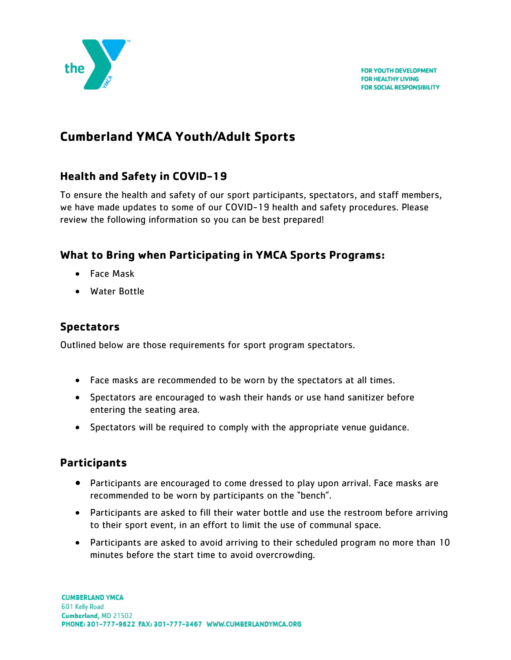

# **Cumberland YMCA Youth/Adult Sports**

# **Health and Safety in COVID-19**

To ensure the health and safety of our sport participants, spectators, and staff members, we have made updates to some of our COVID-19 health and safety procedures. Please review the following information so you can be best prepared!

### **What to Bring when Participating in YMCA Sports Programs:**

- Face Mask
- Water Bottle

## **Spectators**

Outlined below are those requirements for sport program spectators.

- Face masks are recommended to be worn by the spectators at all times.
- Spectators are encouraged to wash their hands or use hand sanitizer before entering the seating area.
- Spectators will be required to comply with the appropriate venue guidance.

### **Participants**

- Participants are encouraged to come dressed to play upon arrival. Face masks are recommended to be worn by participants on the "bench".
- Participants are asked to fill their water bottle and use the restroom before arriving to their sport event, in an effort to limit the use of communal space.
- Participants are asked to avoid arriving to their scheduled program no more than 10 minutes before the start time to avoid overcrowding.